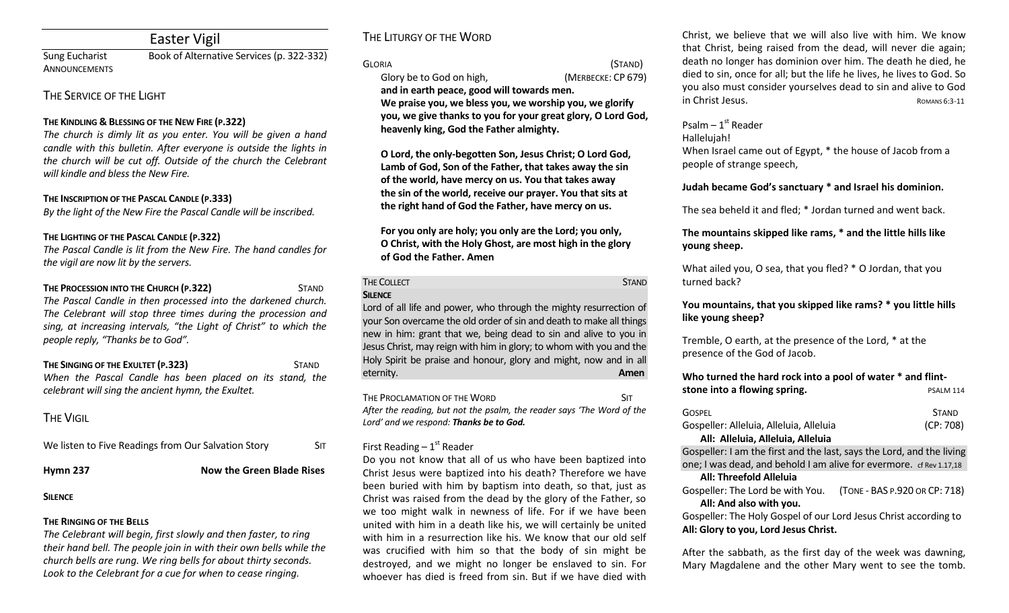## Easter Vigil

Sung Eucharist Book of Alternative Services (p. 322-332) **ANNOUNCEMENTS** 

## THE SERVICE OF THE LIGHT

### **THE KINDLING & BLESSING OF THE NEW FIRE (P.322)**

*The church is dimly lit as you enter. You will be given a hand candle with this bulletin. After everyone is outside the lights in the church will be cut off. Outside of the church the Celebrant will kindle and bless the New Fire.*

### **THE INSCRIPTION OF THE PASCAL CANDLE (P.333)**

*By the light of the New Fire the Pascal Candle will be inscribed.*

### **THE LIGHTING OF THE PASCAL CANDLE (P.322)**

*The Pascal Candle is lit from the New Fire. The hand candles for the vigil are now lit by the servers.*

## **THE PROCESSION INTO THE CHURCH (P.322)** STAND *The Pascal Candle in then processed into the darkened church. The Celebrant will stop three times during the procession and sing, at increasing intervals, "the Light of Christ" to which the people reply, "Thanks be to God".*

### **THE SINGING OF THE EXULTET (P.323)** STAND *When the Pascal Candle has been placed on its stand, the celebrant will sing the ancient hymn, the Exultet.*

# **THE VIGIL**

| We listen to Five Readings from Our Salvation Story | <b>SIT</b> |
|-----------------------------------------------------|------------|
|                                                     |            |

**Hymn 237 Now the Green Blade Rises** 

## **SILENCE**

## **THE RINGING OF THE BELLS**

*The Celebrant will begin, first slowly and then faster, to ring their hand bell. The people join in with their own bells while the church bells are rung. We ring bells for about thirty seconds. Look to the Celebrant for a cue for when to cease ringing.* 

# THE LITURGY OF THE WORD

### GLORIA (STAND)

Glory be to God on high, *(MERBECKE: CP 679)* 

**and in earth peace, good will towards men. We praise you, we bless you, we worship you, we glorify you, we give thanks to you for your great glory, O Lord God, heavenly king, God the Father almighty.** 

**O Lord, the only-begotten Son, Jesus Christ; O Lord God, Lamb of God, Son of the Father, that takes away the sin of the world, have mercy on us. You that takes away the sin of the world, receive our prayer. You that sits at the right hand of God the Father, have mercy on us.** 

**For you only are holy; you only are the Lord; you only, O Christ, with the Holy Ghost, are most high in the glory of God the Father. Amen**

#### THE COLLECT **STAND SILENCE**

Lord of all life and power, who through the mighty resurrection of your Son overcame the old order of sin and death to make all things new in him: grant that we, being dead to sin and alive to you in Jesus Christ, may reign with him in glory; to whom with you and the Holy Spirit be praise and honour, glory and might, now and in all eternity. **Amen**

THE PROCLAMATION OF THE WORD SIT *After the reading, but not the psalm, the reader says 'The Word of the Lord' and we respond: Thanks be to God.* 

## First Reading  $-1<sup>st</sup>$  Reader

Do you not know that all of us who have been baptized into Christ Jesus were baptized into his death? Therefore we have been buried with him by baptism into death, so that, just as Christ was raised from the dead by the glory of the Father, so we too might walk in newness of life. For if we have been united with him in a death like his, we will certainly be united with him in a resurrection like his. We know that our old self was crucified with him so that the body of sin might be destroyed, and we might no longer be enslaved to sin. For whoever has died is freed from sin. But if we have died with

Christ, we believe that we will also live with him. We know that Christ, being raised from the dead, will never die again; death no longer has dominion over him. The death he died, he died to sin, once for all; but the life he lives, he lives to God. So you also must consider yourselves dead to sin and alive to God in Christ Jesus. **ROMANS 6:3-11** 

## Psalm – 1st Reader

#### Hallelujah!

When Israel came out of Egypt, \* the house of Jacob from a people of strange speech,

## **Judah became God's sanctuary \* and Israel his dominion.**

The sea beheld it and fled; \* Jordan turned and went back.

## **The mountains skipped like rams, \* and the little hills like young sheep.**

What ailed you, O sea, that you fled? \* O Jordan, that you turned back?

## **You mountains, that you skipped like rams? \* you little hills like young sheep?**

Tremble, O earth, at the presence of the Lord, \* at the presence of the God of Jacob.

## **Who turned the hard rock into a pool of water \* and flint-**

| stone into a flowing spring.                                                 | PSALM 114                |
|------------------------------------------------------------------------------|--------------------------|
| <b>GOSPEL</b>                                                                | <b>STAND</b><br>(CP:708) |
| Gospeller: Alleluia, Alleluia, Alleluia<br>All: Alleluia, Alleluia, Alleluia |                          |

Gospeller: I am the first and the last, says the Lord, and the living one; I was dead, and behold I am alive for evermore. cf Rev 1.17,18

### **All: Threefold Alleluia**

Gospeller: The Lord be with You. (TONE - BAS P.920 OR CP: 718) **All: And also with you.** 

Gospeller: The Holy Gospel of our Lord Jesus Christ according to **All: Glory to you, Lord Jesus Christ.**

After the sabbath, as the first day of the week was dawning, Mary Magdalene and the other Mary went to see the tomb.